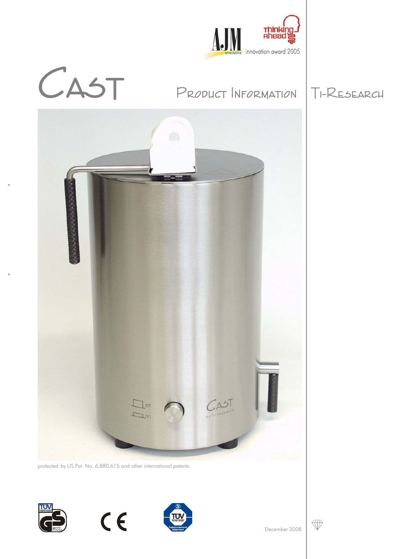

# CAST PRODUCT INFORMATION TI-RESEARCH





protected by US Pat. No. 6,880,615 and other international patents







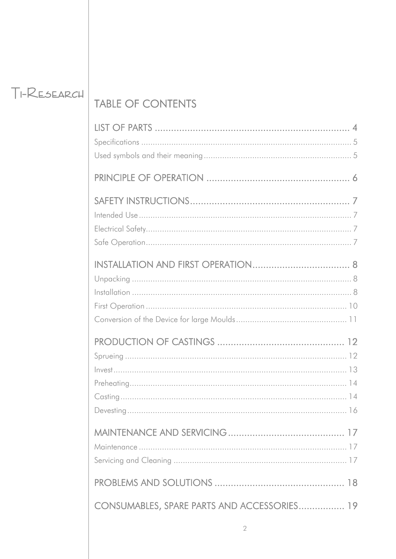## TI-RESEARCH

## TABLE OF CONTENTS

| CONSUMABLES, SPARE PARTS AND ACCESSORIES 19 |  |
|---------------------------------------------|--|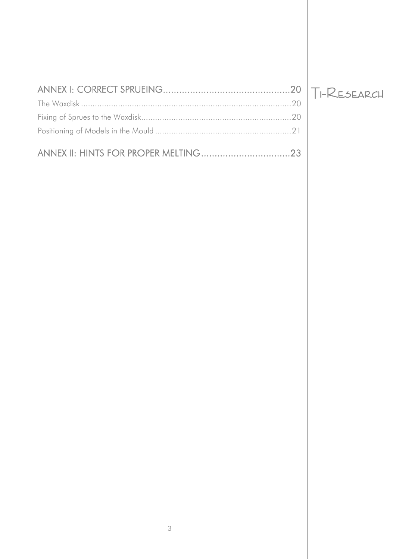## $T$ I-RESEARCH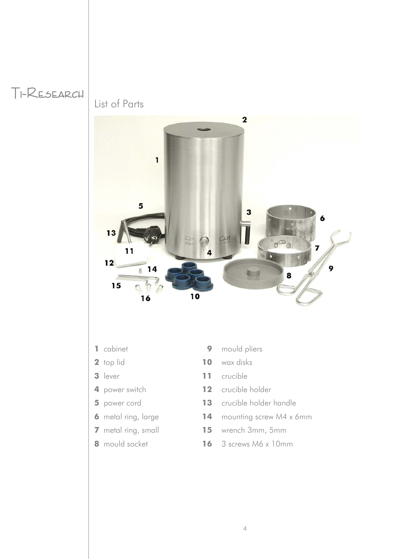

List of Parts



- 
- 
- 
- 
- 
- 
- 
- 
- cabinet **9** mould pliers
- top lid **10** wax disks
- lever **11** crucible
- power switch **12** crucible holder
- power cord **13** crucible holder handle
- metal ring, large **14** mounting screw M4 x 6mm
- metal ring, small **15** wrench 3mm, 5mm
- mould socket **16** 3 screws M6 x 10mm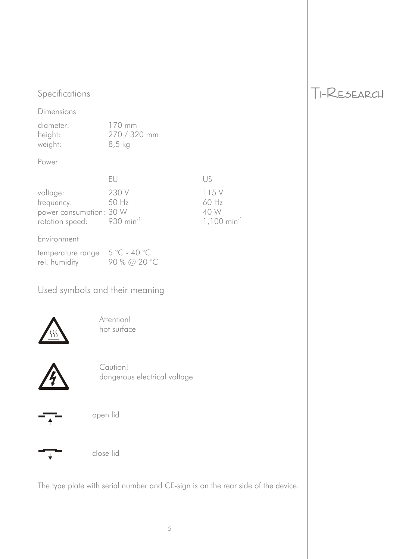## Specifications Ti-RESEARCH

Dimensions

| diameter: | $170 \text{ mm}$ |
|-----------|------------------|
| height:   | 270 / 320 mm     |
| weight:   | $8,5$ kg         |

Power

|                                       | HU.   | LIS.                      |
|---------------------------------------|-------|---------------------------|
| voltage:                              | 230 V | 115 V                     |
| frequency:                            | 50 Hz | $60$ Hz                   |
| power consumption: 30 W               |       | 40 W                      |
| rotation speed: 930 min <sup>-1</sup> |       | $1,100$ min <sup>-1</sup> |

### Environment

| temperature range $5^{\circ}$ C - 40 °C |              |
|-----------------------------------------|--------------|
| rel. humidity                           | 90 % @ 20 °C |

Used symbols and their meaning



Attention! hot surface



Caution! dangerous electrical voltage





close lid

The type plate with serial number and CE-sign is on the rear side of the device.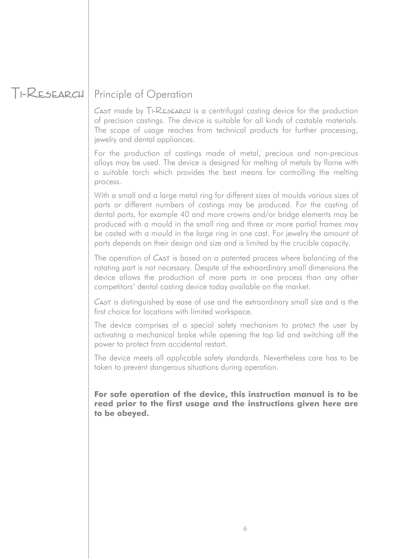## Ti-Research Principle of Operation

 $C$ <sub>A5</sub>T made by  $T$ I-RESEARCH is a centrifugal casting device for the production of precision castings. The device is suitable for all kinds of castable materials. The scope of usage reaches from technical products for further processing, jewelry and dental appliances.

For the production of castings made of metal, precious and non-precious alloys may be used. The device is designed for melting of metals by flame with a suitable torch which provides the best means for controlling the melting process.

With a small and a large metal ring for different sizes of moulds various sizes of parts or different numbers of castings may be produced. For the casting of dental parts, for example 40 and more crowns and/or bridge elements may be produced with a mould in the small ring and three or more partial frames may be casted with a mould in the large ring in one cast. For jewelry the amount of parts depends on their design and size and is limited by the crucible capacity.

The operation of C<sub>AST</sub> is based on a patented process where balancing of the rotating part is not necessary. Despite of the extraordinary small dimensions the device allows the production of more parts in one process than any other competitors' dental casting device today available on the market.

CAST is distinguished by ease of use and the extraordinary small size and is the first choice for locations with limited workspace.

The device comprises of a special safety mechanism to protect the user by activating a mechanical brake while opening the top lid and switching off the power to protect from accidental restart.

The device meets all applicable safety standards. Nevertheless care has to be taken to prevent dangerous situations during operation.

**For safe operation of the device, this instruction manual is to be read prior to the first usage and the instructions given here are to be obeyed.**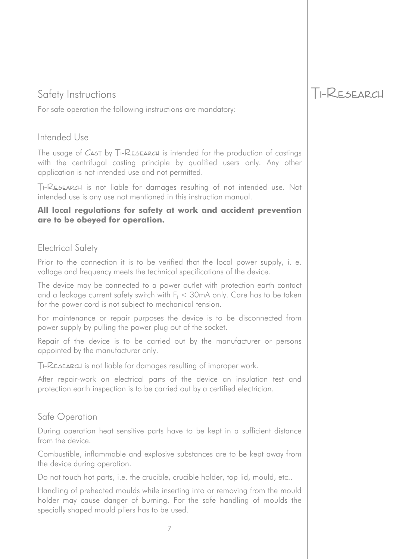For safe operation the following instructions are mandatory:

## Intended Use

The usage of  $C_A$ <sup>t</sup> by  $T_I$ - $R_E$  $A$  $R$  $B$  $C$  $B$  is intended for the production of castings with the centrifugal casting principle by qualified users only. Any other application is not intended use and not permitted.

Ti-Research is not liable for damages resulting of not intended use. Not intended use is any use not mentioned in this instruction manual.

### **All local regulations for safety at work and accident prevention are to be obeyed for operation.**

## Electrical Safety

Prior to the connection it is to be verified that the local power supply, i. e. voltage and frequency meets the technical specifications of the device.

The device may be connected to a power outlet with protection earth contact and a leakage current safety switch with  $F_{\text{\tiny I}} < 30$ mA only. Care has to be taken for the power cord is not subject to mechanical tension.

For maintenance or repair purposes the device is to be disconnected from power supply by pulling the power plug out of the socket.

Repair of the device is to be carried out by the manufacturer or persons appointed by the manufacturer only.

Ti-Research is not liable for damages resulting of improper work.

After repair-work on electrical parts of the device an insulation test and protection earth inspection is to be carried out by a certified electrician.

## Safe Operation

During operation heat sensitive parts have to be kept in a sufficient distance from the device.

Combustible, inflammable and explosive substances are to be kept away from the device during operation.

Do not touch hot parts, i.e. the crucible, crucible holder, top lid, mould, etc..

Handling of preheated moulds while inserting into or removing from the mould holder may cause danger of burning. For the safe handling of moulds the specially shaped mould pliers has to be used.

## Safety Instructions Ti-RESEARCH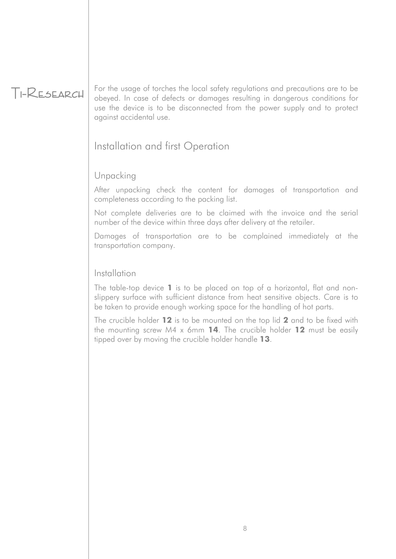Ti-Research For the usage of torches the local safety regulations and precautions are to be obeyed. In case of defects or damages resulting in dangerous conditions for use the device is to be disconnected from the power supply and to protect against accidental use.

## Installation and first Operation

## Unpacking

After unpacking check the content for damages of transportation and completeness according to the packing list.

Not complete deliveries are to be claimed with the invoice and the serial number of the device within three days after delivery at the retailer.

Damages of transportation are to be complained immediately at the transportation company.

## Installation

The table-top device **1** is to be placed on top of a horizontal, flat and nonslippery surface with sufficient distance from heat sensitive objects. Care is to be taken to provide enough working space for the handling of hot parts.

The crucible holder **12** is to be mounted on the top lid **2** and to be fixed with the mounting screw M4 x 6mm **14**. The crucible holder **12** must be easily tipped over by moving the crucible holder handle **13**.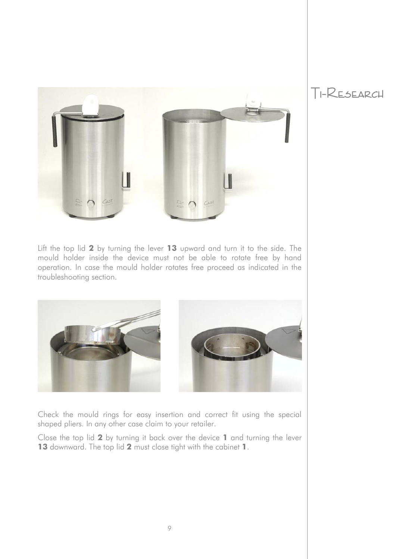

Lift the top lid **2** by turning the lever **13** upward and turn it to the side. The mould holder inside the device must not be able to rotate free by hand operation. In case the mould holder rotates free proceed as indicated in the troubleshooting section.



Check the mould rings for easy insertion and correct fit using the special shaped pliers. In any other case claim to your retailer.

Close the top lid **2** by turning it back over the device **1** and turning the lever **13** downward. The top lid **2** must close tight with the cabinet **1**.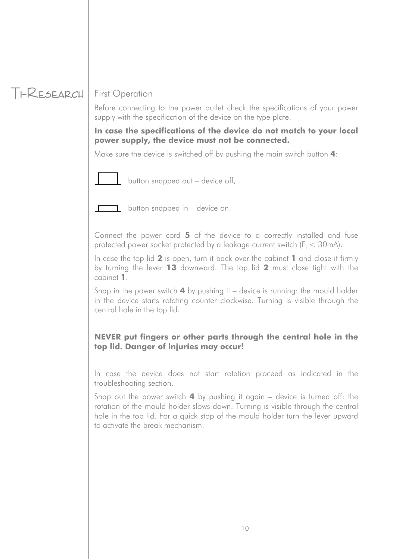## Ti-Research First Operation

Before connecting to the power outlet check the specifications of your power supply with the specification of the device on the type plate.

### **In case the specifications of the device do not match to your local power supply, the device must not be connected.**

Make sure the device is switched off by pushing the main switch button **4**:



button snapped out – device off,



**b**utton snapped in  $-$  device on.

Connect the power cord **5** of the device to a correctly installed and fuse protected power socket protected by a leakage current switch ( $F_1 < 30$ mA).

In case the top lid **2** is open, turn it back over the cabinet **1** and close it firmly by turning the lever **13** downward. The top lid **2** must close tight with the cabinet **1**.

Snap in the power switch **4** by pushing it – device is running: the mould holder in the device starts rotating counter clockwise. Turning is visible through the central hole in the top lid.

## **NEVER put fingers or other parts through the central hole in the top lid. Danger of injuries may occur!**

In case the device does not start rotation proceed as indicated in the troubleshooting section.

Snap out the power switch **4** by pushing it again – device is turned off: the rotation of the mould holder slows down. Turning is visible through the central hole in the top lid. For a quick stop of the mould holder turn the lever upward to activate the break mechanism.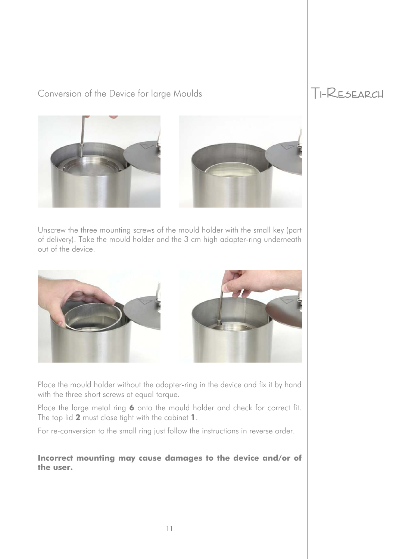## Conversion of the Device for large Moulds TI-RESEARCH







Unscrew the three mounting screws of the mould holder with the small key (part of delivery). Take the mould holder and the 3 cm high adapter-ring underneath out of the device.



Place the mould holder without the adapter-ring in the device and fix it by hand with the three short screws at equal torque.

Place the large metal ring 6 onto the mould holder and check for correct fit. The top lid **2** must close tight with the cabinet **1**.

For re-conversion to the small ring just follow the instructions in reverse order.

**Incorrect mounting may cause damages to the device and/or of the user.**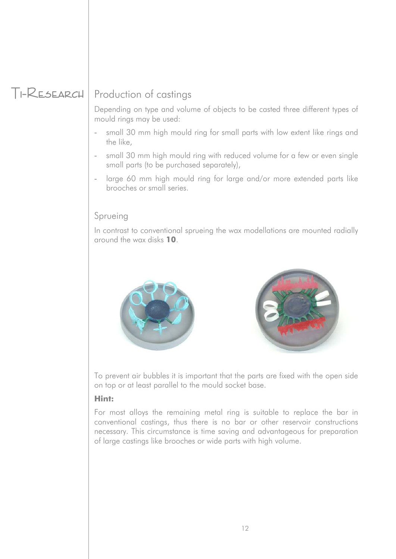## Ti-Research Production of castings

Depending on type and volume of objects to be casted three different types of mould rings may be used:

- small 30 mm high mould ring for small parts with low extent like rings and the like,
- small 30 mm high mould ring with reduced volume for a few or even single small parts (to be purchased separately),
- large 60 mm high mould ring for large and/or more extended parts like brooches or small series.

## Sprueing

In contrast to conventional sprueing the wax modellations are mounted radially around the wax disks **10**.





To prevent air bubbles it is important that the parts are fixed with the open side on top or at least parallel to the mould socket base.

### **Hint:**

For most alloys the remaining metal ring is suitable to replace the bar in conventional castings, thus there is no bar or other reservoir constructions necessary. This circumstance is time saving and advantageous for preparation of large castings like brooches or wide parts with high volume.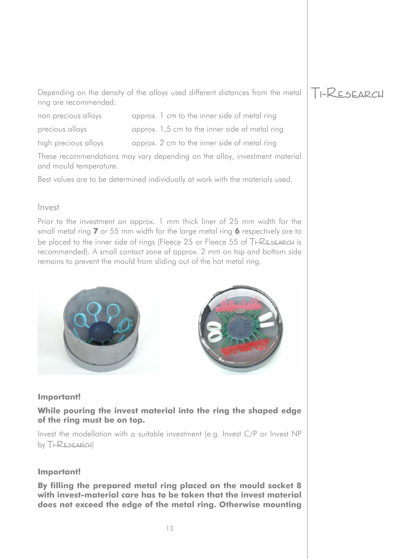Depending on the density of the alloys used different distances from the metal  $\Box$ -RESEARCH ring are recommended:

- 
- non precious alloys approx. 1 cm to the inner side of metal ring
- precious alloys approx. 1,5 cm to the inner side of metal ring

high precious alloys approx. 2 cm to the inner side of metal ring

These recommendations may vary depending on the alloy, investment material and mould temperature.

Best values are to be determined individually at work with the materials used.

### Invest

Prior to the investment an approx. 1 mm thick liner of 25 mm width for the small metal ring **7** or 55 mm width for the large metal ring **6** respectively are to be placed to the inner side of rings (Fleece 25 or Fleece 55 of TI-RESEARCH is recommended). A small contact zone of approx. 2 mm on top and bottom side remains to prevent the mould from sliding out of the hot metal ring.





### **Important!**

### **While pouring the invest material into the ring the shaped edge of the ring must be on top.**

Invest the modellation with a suitable investment (e.g. Invest C/P or Invest NP  $by T<sub>I</sub>-RESEARCH)$ 

### **Important!**

**By filling the prepared metal ring placed on the mould socket 8 with invest-material care has to be taken that the invest material does not exceed the edge of the metal ring. Otherwise mounting**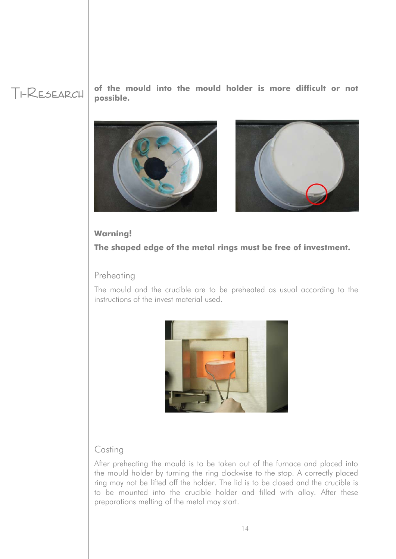Ti-Research **of the mould into the mould holder is more difficult or not possible.** 





### **Warning!**

**The shaped edge of the metal rings must be free of investment.** 

## Preheating

The mould and the crucible are to be preheated as usual according to the instructions of the invest material used.



## **Casting**

After preheating the mould is to be taken out of the furnace and placed into the mould holder by turning the ring clockwise to the stop. A correctly placed ring may not be lifted off the holder. The lid is to be closed and the crucible is to be mounted into the crucible holder and filled with alloy. After these preparations melting of the metal may start.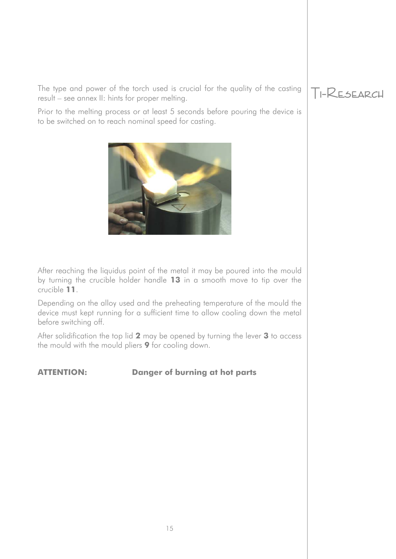The type and power of the torch used is crucial for the quality of the casting  $T$ -RESEARCH result – see annex II: hints for proper melting.

Prior to the melting process or at least 5 seconds before pouring the device is to be switched on to reach nominal speed for casting.



After reaching the liquidus point of the metal it may be poured into the mould by turning the crucible holder handle **13** in a smooth move to tip over the crucible **11**.

Depending on the alloy used and the preheating temperature of the mould the device must kept running for a sufficient time to allow cooling down the metal before switching off.

After solidification the top lid **2** may be opened by turning the lever **3** to access the mould with the mould pliers **9** for cooling down.

## **ATTENTION: Danger of burning at hot parts**

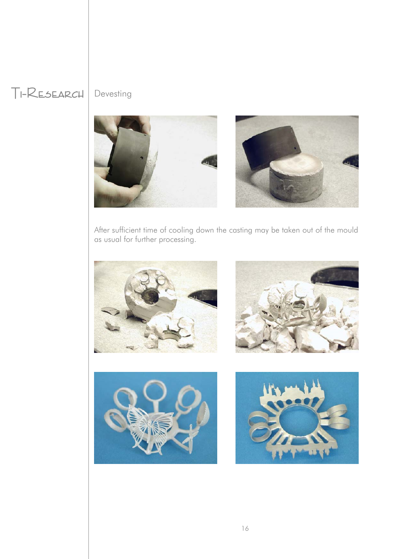## Ti-Research Devesting



After sufficient time of cooling down the casting may be taken out of the mould as usual for further processing.







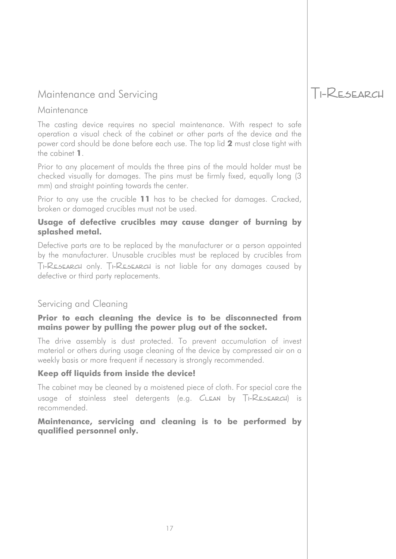## Maintenance and Servicing TI-RESEARCH

### **Maintenance**

The casting device requires no special maintenance. With respect to safe operation a visual check of the cabinet or other parts of the device and the power cord should be done before each use. The top lid **2** must close tight with the cabinet **1**.

Prior to any placement of moulds the three pins of the mould holder must be checked visually for damages. The pins must be firmly fixed, equally long (3 mm) and straight pointing towards the center.

Prior to any use the crucible **11** has to be checked for damages. Cracked, broken or damaged crucibles must not be used.

### **Usage of defective crucibles may cause danger of burning by splashed metal.**

Defective parts are to be replaced by the manufacturer or a person appointed by the manufacturer. Unusable crucibles must be replaced by crucibles from Ti-Research only. Ti-Research is not liable for any damages caused by defective or third party replacements.

## Servicing and Cleaning

### **Prior to each cleaning the device is to be disconnected from mains power by pulling the power plug out of the socket.**

The drive assembly is dust protected. To prevent accumulation of invest material or others during usage cleaning of the device by compressed air on a weekly basis or more frequent if necessary is strongly recommended.

### **Keep off liquids from inside the device!**

The cabinet may be cleaned by a moistened piece of cloth. For special care the usage of stainless steel detergents (e.g. CLEAN by TI-RESEARCH) is recommended.

**Maintenance, servicing and cleaning is to be performed by qualified personnel only.**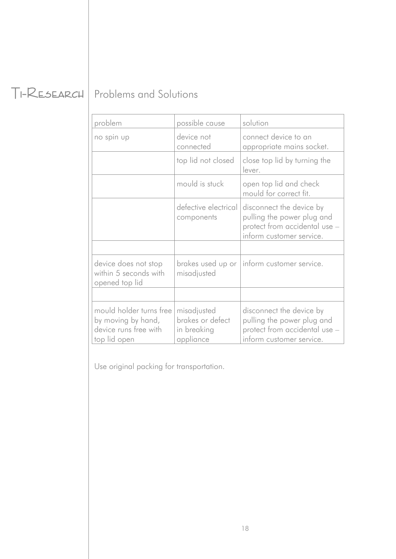## Ti-Research Problems and Solutions

| problem                                                                                | possible cause                                              | solution                                                                                                            |
|----------------------------------------------------------------------------------------|-------------------------------------------------------------|---------------------------------------------------------------------------------------------------------------------|
| no spin up                                                                             | device not<br>connected                                     | connect device to an<br>appropriate mains socket.                                                                   |
|                                                                                        | top lid not closed                                          | close top lid by turning the<br>lever.                                                                              |
|                                                                                        | mould is stuck                                              | open top lid and check<br>mould for correct fit.                                                                    |
|                                                                                        | defective electrical<br>components                          | disconnect the device by<br>pulling the power plug and<br>protect from accidental use -<br>inform customer service. |
|                                                                                        |                                                             |                                                                                                                     |
| device does not stop<br>within 5 seconds with<br>opened top lid                        | misadjusted                                                 | brakes used up or   inform customer service.                                                                        |
|                                                                                        |                                                             |                                                                                                                     |
| mould holder turns free<br>by moving by hand,<br>device runs free with<br>top lid open | misadjusted<br>brakes or defect<br>in breaking<br>appliance | disconnect the device by<br>pulling the power plug and<br>protect from accidental use -<br>inform customer service. |

Use original packing for transportation.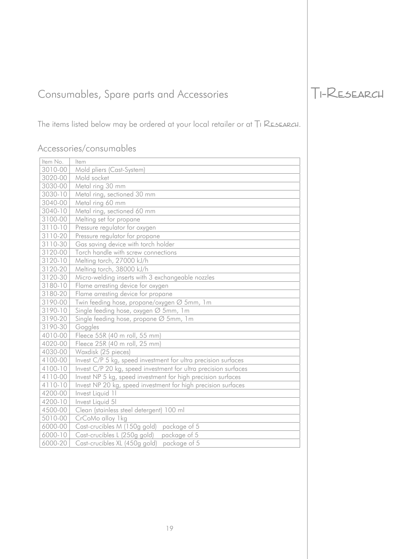## Consumables, Spare parts and Accessories TI-RESEARCH

The items listed below may be ordered at your local retailer or at TI RESEARCH.

## Accessories/consumables

| Item No.    | Item                                                            |
|-------------|-----------------------------------------------------------------|
| 3010-00     | Mold pliers (Cast-System)                                       |
| 3020-00     | Mold socket                                                     |
| 3030-00     | Metal ring 30 mm                                                |
| 3030-10     | Metal ring, sectioned 30 mm                                     |
| 3040-00     | Metal ring 60 mm                                                |
| 3040-10     | Metal ring, sectioned 60 mm                                     |
| 3100-00     | Melting set for propane                                         |
| 3110-10     | Pressure regulator for oxygen                                   |
| 3110-20     | Pressure regulator for propane                                  |
| 3110-30     | Gas saving device with torch holder                             |
| 3120-00     | Torch handle with screw connections                             |
| 3120-10     | Melting torch, 27000 kJ/h                                       |
| 3120-20     | Melting torch, 38000 kJ/h                                       |
| 3120-30     | Micro-welding inserts with 3 exchangeable nozzles               |
| 3180-10     | Flame arresting device for oxygen                               |
| 3180-20     | Flame arresting device for propane                              |
| 3190-00     | Twin feeding hose, propane/oxygen Ø 5mm, 1m                     |
| 3190-10     | Single feeding hose, oxygen Ø 5mm, 1m                           |
| $3190 - 20$ | Single feeding hose, propane Ø 5mm, 1m                          |
| 3190-30     | Goggles                                                         |
| 4010-00     | Fleece 55R (40 m roll, 55 mm)                                   |
| 4020-00     | Fleece 25R (40 m roll, 25 mm)                                   |
| 4030-00     | Waxdisk (25 pieces)                                             |
| 4100-00     | Invest C/P 5 kg, speed investment for ultra precision surfaces  |
| 4100-10     | Invest C/P 20 kg, speed investment for ultra precision surfaces |
| 4110-00     | Invest NP 5 kg, speed investment for high precision surfaces    |
| 4110-10     | Invest NP 20 kg, speed investment for high precision surfaces   |
| 4200-00     | Invest Liquid 11                                                |
| 4200-10     | Invest Liquid 51                                                |
| 4500-00     | Clean (stainless steel detergent) 100 ml                        |
| 5010-00     | CrCoMo alloy 1kg                                                |
| 6000-00     | Cast-crucibles M (150g gold)<br>package of 5                    |
| 6000-10     | Cast-crucibles L (250g gold)<br>package of 5                    |
| 6000-20     | Cast-crucibles XL (450g gold)<br>package of 5                   |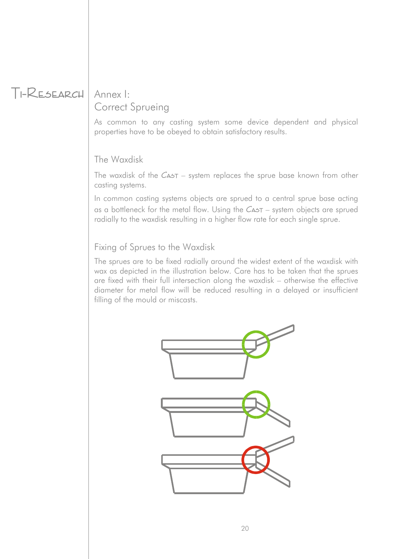## Ti-Research Annex I:

# Correct Sprueing

As common to any casting system some device dependent and physical properties have to be obeyed to obtain satisfactory results.

## The Waxdisk

The waxdisk of the  $C_{A5T}$  – system replaces the sprue base known from other casting systems.

In common casting systems objects are sprued to a central sprue base acting as a bottleneck for the metal flow. Using the  $C_{\text{A5T}}$  – system objects are sprued radially to the waxdisk resulting in a higher flow rate for each single sprue.

## Fixing of Sprues to the Waxdisk

The sprues are to be fixed radially around the widest extent of the waxdisk with wax as depicted in the illustration below. Care has to be taken that the sprues are fixed with their full intersection along the waxdisk – otherwise the effective diameter for metal flow will be reduced resulting in a delayed or insufficient filling of the mould or miscasts.

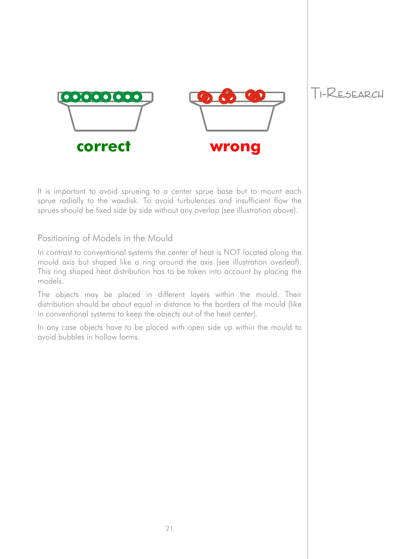



Ti-Research

It is important to avoid sprueing to a center sprue base but to mount each sprue radially to the waxdisk. To avoid turbulences and insufficient flow the sprues should be fixed side by side without any overlap (see illustration above).

## Positioning of Models in the Mould

In contrast to conventional systems the center of heat is NOT located along the mould axis but shaped like a ring around the axis (see illustration overleaf). This ring shaped heat distribution has to be taken into account by placing the models.

The objects may be placed in different layers within the mould. Their distribution should be about equal in distance to the borders of the mould (like in conventional systems to keep the objects out of the heat center).

In any case objects have to be placed with open side up within the mould to avoid bubbles in hollow forms.

21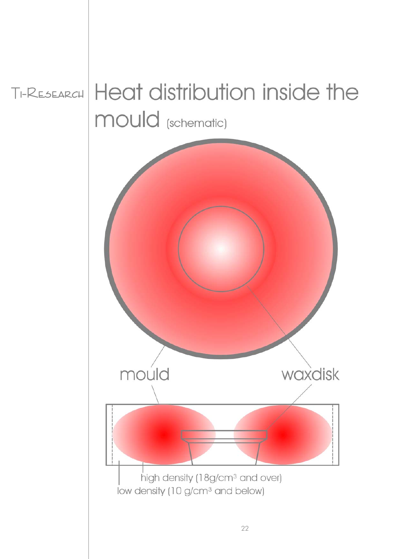Ti-Research

# Heat distribution inside the mould (schematic)

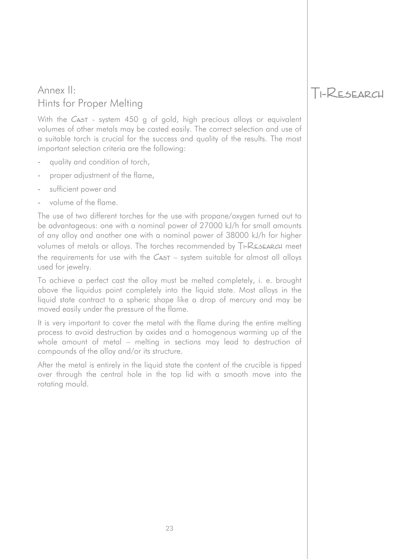## Ti-Research Annex II: Hints for Proper Melting

With the CAST - system 450 g of gold, high precious alloys or equivalent volumes of other metals may be casted easily. The correct selection and use of a suitable torch is crucial for the success and quality of the results. The most important selection criteria are the following:

- quality and condition of torch,
- proper adjustment of the flame,
- sufficient power and
- volume of the flame.

The use of two different torches for the use with propane/oxygen turned out to be advantageous: one with a nominal power of 27000 kJ/h for small amounts of any alloy and another one with a nominal power of 38000 kJ/h for higher volumes of metals or alloys. The torches recommended by TI-RESEARCH meet the requirements for use with the  $C_{\text{A5T}}$  – system suitable for almost all alloys used for jewelry.

To achieve a perfect cast the alloy must be melted completely, i. e. brought above the liquidus point completely into the liquid state. Most alloys in the liquid state contract to a spheric shape like a drop of mercury and may be moved easily under the pressure of the flame.

It is very important to cover the metal with the flame during the entire melting process to avoid destruction by oxides and a homogenous warming up of the whole amount of metal – melting in sections may lead to destruction of compounds of the alloy and/or its structure.

After the metal is entirely in the liquid state the content of the crucible is tipped over through the central hole in the top lid with a smooth move into the rotating mould.